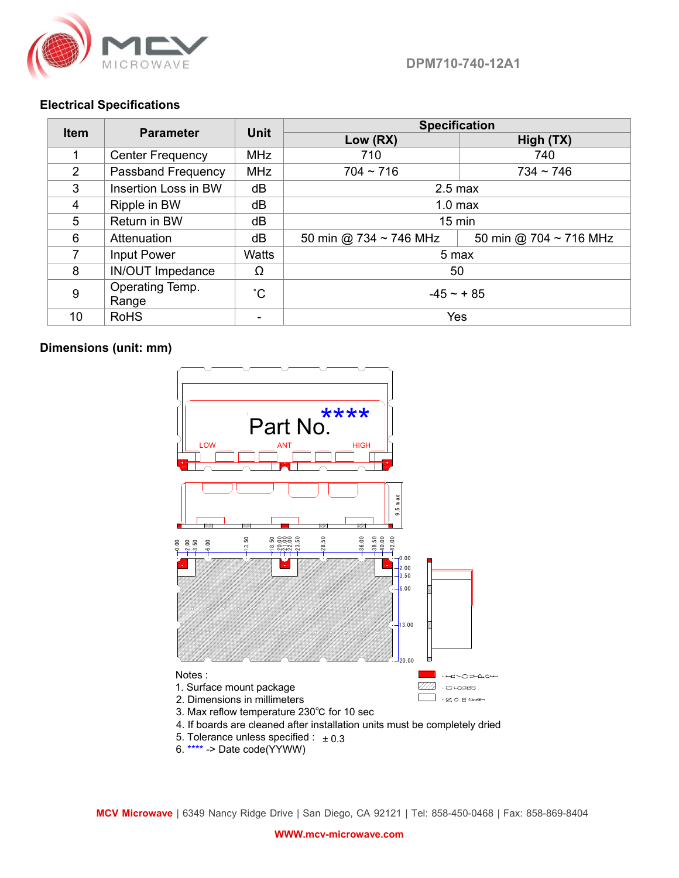

## **Electrical Specifications**

| <b>Item</b>    | <b>Parameter</b>         | <b>Unit</b>  | <b>Specification</b>        |                             |
|----------------|--------------------------|--------------|-----------------------------|-----------------------------|
|                |                          |              | Low (RX)                    | High (TX)                   |
|                | <b>Center Frequency</b>  | <b>MHz</b>   | 710                         | 740                         |
| $\overline{2}$ | Passband Frequency       | <b>MHz</b>   | $704 - 716$                 | $734 \sim 746$              |
| 3              | Insertion Loss in BW     | dB           | $2.5$ max                   |                             |
| 4              | Ripple in BW             | dB           | 1.0 <sub>max</sub>          |                             |
| 5              | Return in BW             | dB           | $15 \text{ min}$            |                             |
| 6              | Attenuation              | dB           | 50 min @ 734 $\sim$ 746 MHz | 50 min @ 704 $\sim$ 716 MHz |
| $\overline{7}$ | <b>Input Power</b>       | <b>Watts</b> | 5 max                       |                             |
| 8              | <b>IN/OUT Impedance</b>  | Ω            | 50                          |                             |
| 9              | Operating Temp.<br>Range | $^{\circ}$ C | $-45 \sim +85$              |                             |
| 10             | <b>RoHS</b>              |              | Yes                         |                             |

## **Dimensions (unit: mm)**



- 5. Tolerance unless specified  $: \pm 0.3$
- 6. \*\*\*\* -> Date code(YYWW)